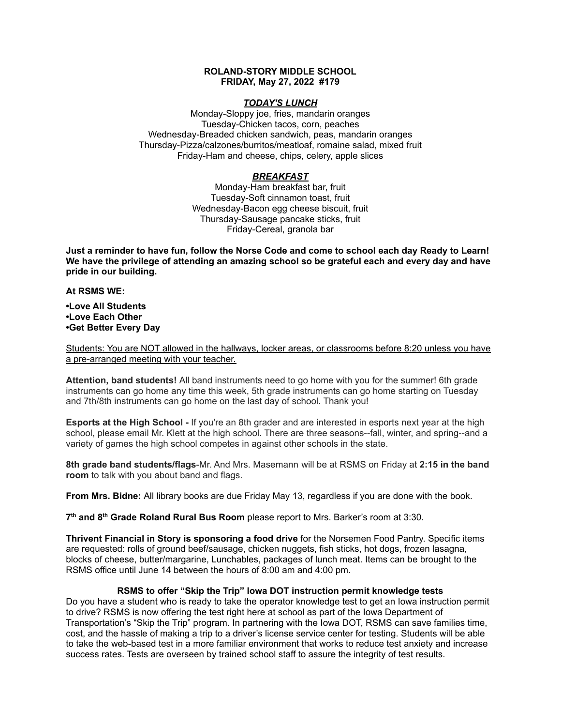## **ROLAND-STORY MIDDLE SCHOOL FRIDAY, May 27, 2022 #179**

# *TODAY'S LUNCH*

Monday-Sloppy joe, fries, mandarin oranges Tuesday-Chicken tacos, corn, peaches Wednesday-Breaded chicken sandwich, peas, mandarin oranges Thursday-Pizza/calzones/burritos/meatloaf, romaine salad, mixed fruit Friday-Ham and cheese, chips, celery, apple slices

# *BREAKFAST*

Monday-Ham breakfast bar, fruit Tuesday-Soft cinnamon toast, fruit Wednesday-Bacon egg cheese biscuit, fruit Thursday-Sausage pancake sticks, fruit Friday-Cereal, granola bar

Just a reminder to have fun, follow the Norse Code and come to school each day Ready to Learn! **We have the privilege of attending an amazing school so be grateful each and every day and have pride in our building.**

#### **At RSMS WE:**

**•Love All Students •Love Each Other •Get Better Every Day**

Students: You are NOT allowed in the hallways, locker areas, or classrooms before 8:20 unless you have a pre-arranged meeting with your teacher.

**Attention, band students!** All band instruments need to go home with you for the summer! 6th grade instruments can go home any time this week, 5th grade instruments can go home starting on Tuesday and 7th/8th instruments can go home on the last day of school. Thank you!

**Esports at the High School -** If you're an 8th grader and are interested in esports next year at the high school, please email Mr. Klett at the high school. There are three seasons--fall, winter, and spring--and a variety of games the high school competes in against other schools in the state.

**8th grade band students/flags**-Mr. And Mrs. Masemann will be at RSMS on Friday at **2:15 in the band room** to talk with you about band and flags.

**From Mrs. Bidne:** All library books are due Friday May 13, regardless if you are done with the book.

**7 th and 8 th Grade Roland Rural Bus Room** please report to Mrs. Barker's room at 3:30.

**Thrivent Financial in Story is sponsoring a food drive** for the Norsemen Food Pantry. Specific items are requested: rolls of ground beef/sausage, chicken nuggets, fish sticks, hot dogs, frozen lasagna, blocks of cheese, butter/margarine, Lunchables, packages of lunch meat. Items can be brought to the RSMS office until June 14 between the hours of 8:00 am and 4:00 pm.

# **RSMS to offer "Skip the Trip" Iowa DOT instruction permit knowledge tests**

Do you have a student who is ready to take the operator knowledge test to get an Iowa instruction permit to drive? RSMS is now offering the test right here at school as part of the Iowa Department of Transportation's "Skip the Trip" program. In partnering with the Iowa DOT, RSMS can save families time, cost, and the hassle of making a trip to a driver's license service center for testing. Students will be able to take the web-based test in a more familiar environment that works to reduce test anxiety and increase success rates. Tests are overseen by trained school staff to assure the integrity of test results.